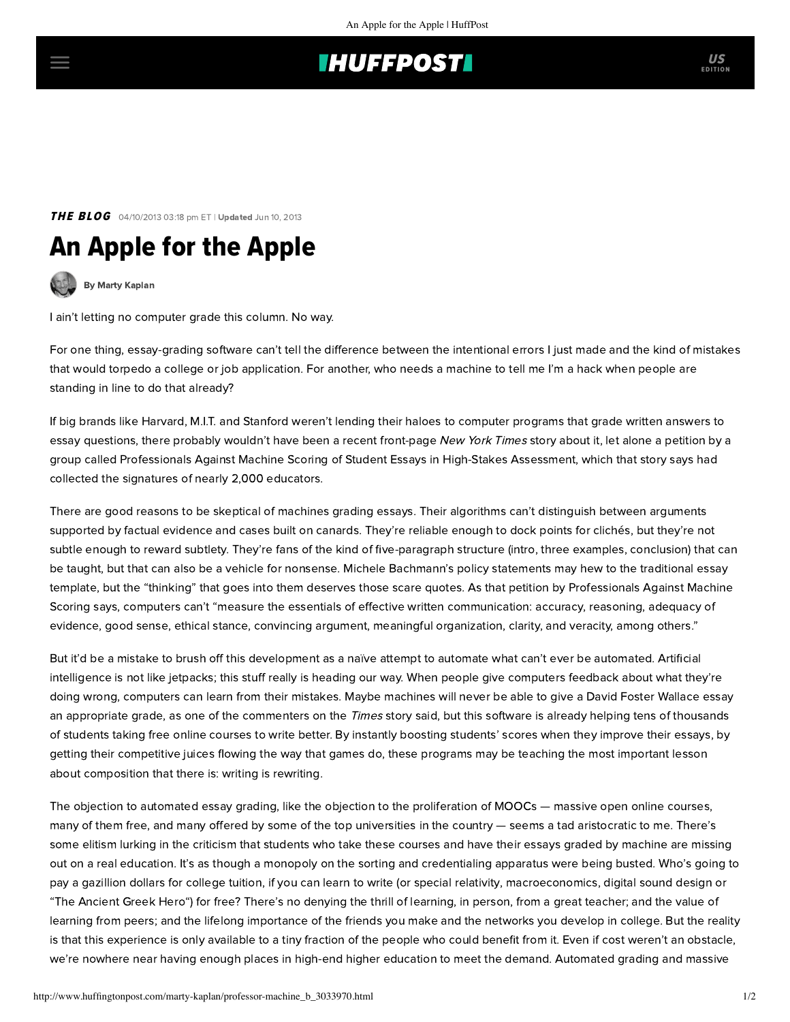## **THUFFPOST**

### **THE BLOG** 04/10/2013 03:18 pm ET | Updated Jun 10, 2013

# An Apple for the Apple



[By Marty Kaplan](http://www.huffingtonpost.com/author/marty-kaplan)

I ain't letting no computer grade this column. No way.

For one thing, essay-grading software can't tell the difference between the intentional errors I just made and the kind of mistakes that would torpedo a college or job application. For another, who needs a machine to tell me I'm a hack when people are standing in line to do that already?

If big brands like Harvard, M.I.T. and Stanford weren't lending their haloes to computer programs that grade written answers to essay questions, there probably wouldn't have been a recent front-page [New York](http://www.nytimes.com/2013/04/05/science/new-test-for-computers-grading-essays-at-college-level.html?pagewanted=2&_r=2&ref=education) Times story about it, let alone a petition by a group called Professionals Against Machine Scoring of Student Essays in High-Stakes Assessment, which that story says had collected the signatures of nearly 2,000 educators.

There are good reasons to be skeptical of machines grading essays. Their algorithms can't distinguish between arguments supported by factual evidence and cases built on canards. They're reliable enough to dock points for clichés, but they're not subtle enough to reward subtlety. They're fans of the kind of five-paragraph structure (intro, three examples, conclusion) that can be taught, but that can also be a vehicle for nonsense. Michele Bachmann's [policy statements](http://www.michelebachmann.com/issues/security/) may hew to the traditional essay template, but the "thinking" that goes into them deserves those scare quotes. As that petition by Professionals Against Machine Scoring says, computers can't "measure the essentials of effective written communication: accuracy, reasoning, adequacy of evidence, good sense, ethical stance, convincing argument, meaningful organization, clarity, and veracity, among others."

But it'd be a mistake to brush off this development as a naïve attempt to automate what can't ever be automated. Artificial intelligence is not like jetpacks; this stuff really is heading our way. When people give computers feedback about what they're doing wrong, computers can learn from their mistakes. Maybe machines will never be able to give a David Foster Wallace essay an appropriate grade, as one of the commenters on the *Times* story said, but this software is already helping tens of thousands of students taking free online courses to write better. By instantly boosting students' scores when they improve their essays, by getting their competitive juices flowing the way that games do, these programs may be teaching the most important lesson about composition that there is: writing is rewriting.

The objection to automated essay grading, like the objection to the proliferation of MOOCs — massive open online courses, many of them free, and many offered by some of the top universities in the country — seems a tad aristocratic to me. There's some elitism lurking in the criticism that students who take these courses and have their essays graded by machine are missing out on a real education. It's as though a monopoly on the sorting and credentialing apparatus were being busted. Who's going to pay a gazillion dollars for college tuition, if you can learn to write (or [special relativity,](http://www.mooc-list.com/course/understanding-einstein-special-theory-relativity-coursera) [macroeconomics](http://www.mooc-list.com/course/principles-microeconomics-coursera), [digital sound design](http://www.mooc-list.com/course/introduction-digital-sound-design-early-2013) or ["The Ancient Greek Hero"](http://www.mooc-list.com/course/cb22x-ancient-greek-hero-edx)) for free? There's no denying the thrill of learning, in person, from a great teacher; and the value of learning from peers; and the lifelong importance of the friends you make and the networks you develop in college. But the reality is that this experience is only available to a tiny fraction of the people who could benefit from it. Even if cost weren't an obstacle, we're nowhere near having enough places in high-end higher education to meet the demand. Automated grading and massive